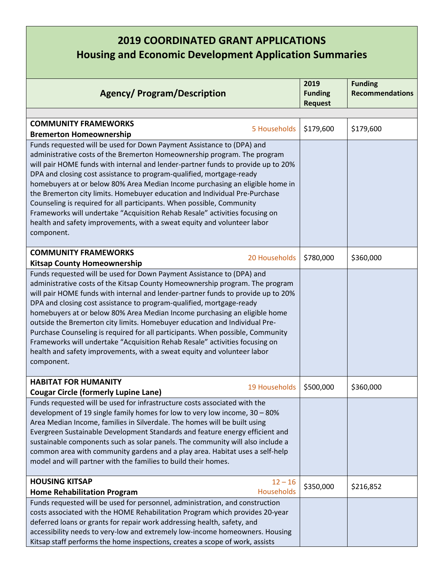## **2019 COORDINATED GRANT APPLICATIONS Housing and Economic Development Application Summaries**

| <b>Agency/ Program/Description</b>                                                                                                                      |                   | 2019<br><b>Funding</b><br><b>Request</b> | <b>Funding</b><br><b>Recommendations</b> |
|---------------------------------------------------------------------------------------------------------------------------------------------------------|-------------------|------------------------------------------|------------------------------------------|
|                                                                                                                                                         |                   |                                          |                                          |
| <b>COMMUNITY FRAMEWORKS</b>                                                                                                                             |                   |                                          |                                          |
| <b>Bremerton Homeownership</b>                                                                                                                          | 5 Households      | \$179,600                                | \$179,600                                |
| Funds requested will be used for Down Payment Assistance to (DPA) and                                                                                   |                   |                                          |                                          |
| administrative costs of the Bremerton Homeownership program. The program                                                                                |                   |                                          |                                          |
| will pair HOME funds with internal and lender-partner funds to provide up to 20%                                                                        |                   |                                          |                                          |
| DPA and closing cost assistance to program-qualified, mortgage-ready                                                                                    |                   |                                          |                                          |
| homebuyers at or below 80% Area Median Income purchasing an eligible home in                                                                            |                   |                                          |                                          |
| the Bremerton city limits. Homebuyer education and Individual Pre-Purchase                                                                              |                   |                                          |                                          |
| Counseling is required for all participants. When possible, Community                                                                                   |                   |                                          |                                          |
| Frameworks will undertake "Acquisition Rehab Resale" activities focusing on                                                                             |                   |                                          |                                          |
| health and safety improvements, with a sweat equity and volunteer labor                                                                                 |                   |                                          |                                          |
| component.                                                                                                                                              |                   |                                          |                                          |
|                                                                                                                                                         |                   |                                          |                                          |
| <b>COMMUNITY FRAMEWORKS</b>                                                                                                                             | 20 Households     | \$780,000                                | \$360,000                                |
| <b>Kitsap County Homeownership</b>                                                                                                                      |                   |                                          |                                          |
| Funds requested will be used for Down Payment Assistance to (DPA) and                                                                                   |                   |                                          |                                          |
| administrative costs of the Kitsap County Homeownership program. The program                                                                            |                   |                                          |                                          |
| will pair HOME funds with internal and lender-partner funds to provide up to 20%                                                                        |                   |                                          |                                          |
| DPA and closing cost assistance to program-qualified, mortgage-ready                                                                                    |                   |                                          |                                          |
| homebuyers at or below 80% Area Median Income purchasing an eligible home                                                                               |                   |                                          |                                          |
| outside the Bremerton city limits. Homebuyer education and Individual Pre-                                                                              |                   |                                          |                                          |
| Purchase Counseling is required for all participants. When possible, Community                                                                          |                   |                                          |                                          |
| Frameworks will undertake "Acquisition Rehab Resale" activities focusing on                                                                             |                   |                                          |                                          |
| health and safety improvements, with a sweat equity and volunteer labor                                                                                 |                   |                                          |                                          |
| component.                                                                                                                                              |                   |                                          |                                          |
| <b>HABITAT FOR HUMANITY</b>                                                                                                                             |                   |                                          |                                          |
| <b>Cougar Circle (formerly Lupine Lane)</b>                                                                                                             | 19 Households     | \$500,000                                | \$360,000                                |
|                                                                                                                                                         |                   |                                          |                                          |
| Funds requested will be used for infrastructure costs associated with the                                                                               |                   |                                          |                                          |
| development of 19 single family homes for low to very low income, 30 - 80%<br>Area Median Income, families in Silverdale. The homes will be built using |                   |                                          |                                          |
| Evergreen Sustainable Development Standards and feature energy efficient and                                                                            |                   |                                          |                                          |
| sustainable components such as solar panels. The community will also include a                                                                          |                   |                                          |                                          |
| common area with community gardens and a play area. Habitat uses a self-help                                                                            |                   |                                          |                                          |
| model and will partner with the families to build their homes.                                                                                          |                   |                                          |                                          |
|                                                                                                                                                         |                   |                                          |                                          |
| <b>HOUSING KITSAP</b>                                                                                                                                   | $12 - 16$         |                                          |                                          |
| <b>Home Rehabilitation Program</b>                                                                                                                      | <b>Households</b> | \$350,000                                | \$216,852                                |
| Funds requested will be used for personnel, administration, and construction                                                                            |                   |                                          |                                          |
| costs associated with the HOME Rehabilitation Program which provides 20-year                                                                            |                   |                                          |                                          |
| deferred loans or grants for repair work addressing health, safety, and                                                                                 |                   |                                          |                                          |
| accessibility needs to very-low and extremely low-income homeowners. Housing                                                                            |                   |                                          |                                          |
| Kitsap staff performs the home inspections, creates a scope of work, assists                                                                            |                   |                                          |                                          |